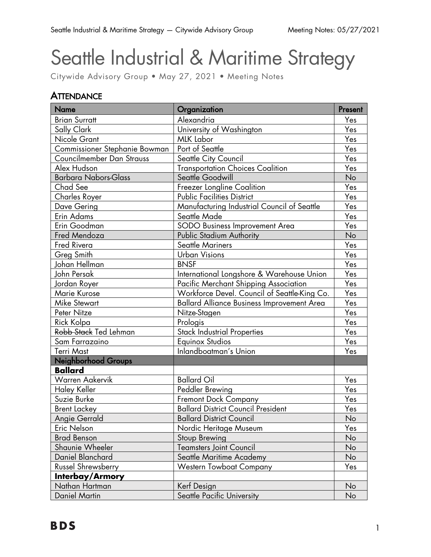# Seattle Industrial & Maritime Strategy

Citywide Advisory Group • May 27, 2021 • Meeting Notes

## **ATTENDANCE**

| <b>Name</b>                   | Organization                                      | Present |
|-------------------------------|---------------------------------------------------|---------|
| <b>Brian Surratt</b>          | Alexandria                                        | Yes     |
| Sally Clark                   | University of Washington                          | Yes     |
| Nicole Grant                  | <b>MLK Labor</b>                                  | Yes     |
| Commissioner Stephanie Bowman | Port of Seattle                                   | Yes     |
| Councilmember Dan Strauss     | Seattle City Council                              | Yes     |
| Alex Hudson                   | <b>Transportation Choices Coalition</b>           | Yes     |
| <b>Barbara Nabors-Glass</b>   | Seattle Goodwill                                  | No      |
| Chad See                      | Freezer Longline Coalition                        | Yes     |
| Charles Royer                 | <b>Public Facilities District</b>                 | Yes     |
| Dave Gering                   | Manufacturing Industrial Council of Seattle       | Yes     |
| Erin Adams                    | Seattle Made                                      | Yes     |
| Erin Goodman                  | SODO Business Improvement Area                    | Yes     |
| Fred Mendoza                  | <b>Public Stadium Authority</b>                   | No      |
| Fred Rivera                   | <b>Seattle Mariners</b>                           | Yes     |
| Greg Smith                    | <b>Urban Visions</b>                              | Yes     |
| Johan Hellman                 | <b>BNSF</b>                                       | Yes     |
| John Persak                   | International Longshore & Warehouse Union         | Yes     |
| Jordan Royer                  | Pacific Merchant Shipping Association             | Yes     |
| Marie Kurose                  | Workforce Devel. Council of Seattle-King Co.      | Yes     |
| <b>Mike Stewart</b>           | <b>Ballard Alliance Business Improvement Area</b> | Yes     |
| Peter Nitze                   | Nitze-Stagen                                      | Yes     |
| Rick Kolpa                    | Prologis                                          | Yes     |
| Robb Stack Ted Lehman         | <b>Stack Industrial Properties</b>                | Yes     |
| Sam Farrazaino                | <b>Equinox Studios</b>                            | Yes     |
| Terri Mast                    | Inlandboatman's Union                             | Yes     |
| Neighborhood Groups           |                                                   |         |
| <b>Ballard</b>                |                                                   |         |
| <b>Warren Aakervik</b>        | <b>Ballard Oil</b>                                | Yes     |
| <b>Haley Keller</b>           | Peddler Brewing                                   | Yes     |
| Suzie Burke                   | <b>Fremont Dock Company</b>                       | Yes     |
| <b>Brent Lackey</b>           | <b>Ballard District Council President</b>         | Yes     |
| <b>Angie Gerrald</b>          | <b>Ballard District Council</b>                   | No      |
| Eric Nelson                   | Nordic Heritage Museum                            | Yes     |
| <b>Brad Benson</b>            | Stoup Brewing                                     | No      |
| Shaunie Wheeler               | <b>Teamsters Joint Council</b>                    | No      |
| Daniel Blanchard              | Seattle Maritime Academy                          | No      |
| <b>Russel Shrewsberry</b>     | <b>Western Towboat Company</b>                    | Yes     |
| Interbay/Armory               |                                                   |         |
| Nathan Hartman                | Kerf Design                                       | No      |
| <b>Daniel Martin</b>          | Seattle Pacific University                        | No      |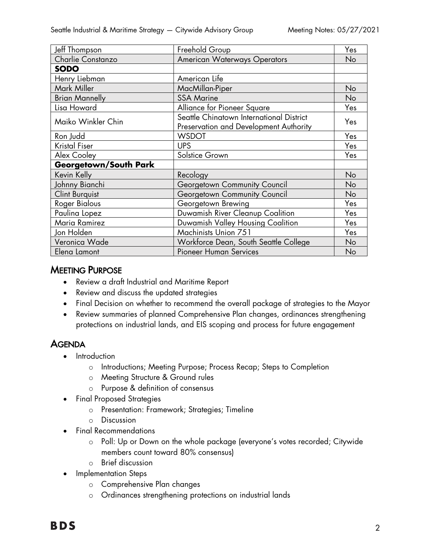| Jeff Thompson                | Freehold Group                                                                     | Yes |
|------------------------------|------------------------------------------------------------------------------------|-----|
| Charlie Constanzo            | <b>American Waterways Operators</b>                                                | No  |
| <b>SODO</b>                  |                                                                                    |     |
| Henry Liebman                | American Life                                                                      |     |
| Mark Miller                  | MacMillan-Piper                                                                    | No  |
| <b>Brian Mannelly</b>        | <b>SSA Marine</b>                                                                  | No  |
| Lisa Howard                  | Alliance for Pioneer Square                                                        | Yes |
| Maiko Winkler Chin           | Seattle Chinatown International District<br>Preservation and Development Authority | Yes |
| Ron Judd                     | <b>WSDOT</b>                                                                       | Yes |
| Kristal Fiser                | <b>UPS</b>                                                                         | Yes |
| Alex Cooley                  | Solstice Grown                                                                     | Yes |
| <b>Georgetown/South Park</b> |                                                                                    |     |
| Kevin Kelly                  | Recology                                                                           | No  |
| Johnny Bianchi               | Georgetown Community Council                                                       | No  |
| <b>Clint Burguist</b>        | Georgetown Community Council                                                       | No  |
| <b>Roger Bialous</b>         | Georgetown Brewing                                                                 | Yes |
| Paulina Lopez                | Duwamish River Cleanup Coalition                                                   | Yes |
| Maria Ramirez                | Duwamish Valley Housing Coalition                                                  | Yes |
| Jon Holden                   | Machinists Union 751                                                               | Yes |
| Veronica Wade                | Workforce Dean, South Seattle College                                              | No  |
| Elena Lamont                 | <b>Pioneer Human Services</b>                                                      | No  |

## **MEETING PURPOSE**

- Review a draft Industrial and Maritime Report
- Review and discuss the updated strategies
- Final Decision on whether to recommend the overall package of strategies to the Mayor
- Review summaries of planned Comprehensive Plan changes, ordinances strengthening protections on industrial lands, and EIS scoping and process for future engagement

## **AGENDA**

- Introduction
	- o Introductions; Meeting Purpose; Process Recap; Steps to Completion
	- o Meeting Structure & Ground rules
	- o Purpose & definition of consensus
- Final Proposed Strategies
	- o Presentation: Framework; Strategies; Timeline
	- o Discussion
- Final Recommendations
	- o Poll: Up or Down on the whole package (everyone's votes recorded; Citywide members count toward 80% consensus)
	- o Brief discussion
- Implementation Steps
	- o Comprehensive Plan changes
	- o Ordinances strengthening protections on industrial lands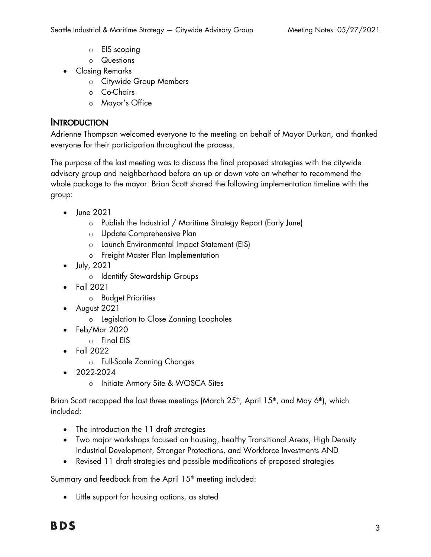- o EIS scoping
- o Questions
- Closing Remarks
	- o Citywide Group Members
	- o Co-Chairs
	- o Mayor's Office

## **INTRODUCTION**

Adrienne Thompson welcomed everyone to the meeting on behalf of Mayor Durkan, and thanked everyone for their participation throughout the process.

The purpose of the last meeting was to discuss the final proposed strategies with the citywide advisory group and neighborhood before an up or down vote on whether to recommend the whole package to the mayor. Brian Scott shared the following implementation timeline with the group:

- June 2021
	- o Publish the Industrial / Maritime Strategy Report (Early June)
	- o Update Comprehensive Plan
	- o Launch Environmental Impact Statement (EIS)
	- o Freight Master Plan Implementation
- July, 2021
	- o Identitfy Stewardship Groups
- Fall 2021
	- o Budget Priorities
- August 2021
	- o Legislation to Close Zonning Loopholes
- Feb/Mar 2020
	- o Final EIS
- Fall 2022
	- o Full-Scale Zonning Changes
- 2022-2024
	- o Initiate Armory Site & WOSCA Sites

Brian Scott recapped the last three meetings (March  $25<sup>th</sup>$ , April  $15<sup>th</sup>$ , and May 6<sup>th</sup>), which included:

- The introduction the 11 draft strategies
- Two major workshops focused on housing, healthy Transitional Areas, High Density Industrial Development, Stronger Protections, and Workforce Investments AND
- Revised 11 draft strategies and possible modifications of proposed strategies

Summary and feedback from the April  $15<sup>th</sup>$  meeting included:

• Little support for housing options, as stated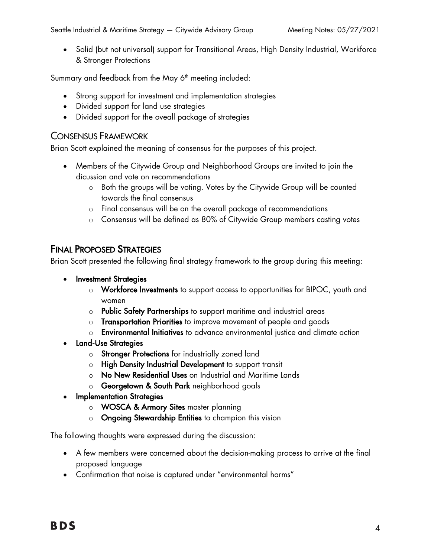• Solid (but not universal) support for Transitional Areas, High Density Industrial, Workforce & Stronger Protections

Summary and feedback from the May 6<sup>th</sup> meeting included:

- Strong support for investment and implementation strategies
- Divided support for land use strategies
- Divided support for the oveall package of strategies

#### CONSENSUS FRAMEWORK

Brian Scott explained the meaning of consensus for the purposes of this project.

- Members of the Citywide Group and Neighborhood Groups are invited to join the dicussion and vote on recommendations
	- o Both the groups will be voting. Votes by the Citywide Group will be counted towards the final consensus
	- o Final consensus will be on the overall package of recommendations
	- o Consensus will be defined as 80% of Citywide Group members casting votes

## FINAL PROPOSED STRATEGIES

Brian Scott presented the following final strategy framework to the group during this meeting:

- Investment Strategies
	- o Workforce Investments to support access to opportunities for BIPOC, youth and women
	- o Public Safety Partnerships to support maritime and industrial areas
	- o Transportation Priorities to improve movement of people and goods
	- o Environmental Initiatives to advance environmental justice and climate action
- Land-Use Strategies
	- o Stronger Protections for industrially zoned land
	- o High Density Industrial Development to support transit
	- o No New Residential Uses on Industrial and Maritime Lands
	- o Georgetown & South Park neighborhood goals
- Implementation Strategies
	- o WOSCA & Armory Sites master planning
	- o Ongoing Stewardship Entities to champion this vision

The following thoughts were expressed during the discussion:

- A few members were concerned about the decision-making process to arrive at the final proposed language
- Confirmation that noise is captured under "environmental harms"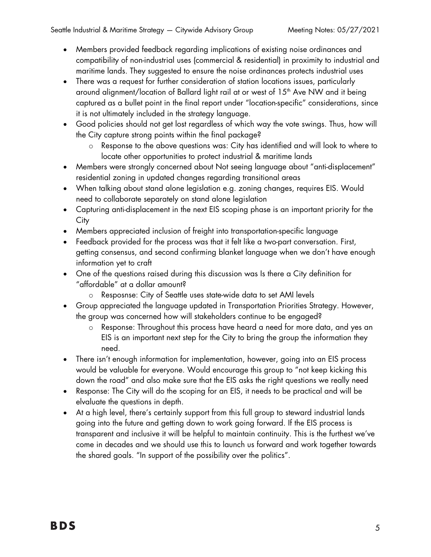- Members provided feedback regarding implications of existing noise ordinances and compatibility of non-industrial uses (commercial & residential) in proximity to industrial and maritime lands. They suggested to ensure the noise ordinances protects industrial uses
- There was a request for further consideration of station locations issues, particularly around alignment/location of Ballard light rail at or west of 15<sup>th</sup> Ave NW and it being captured as a bullet point in the final report under "location-specific" considerations, since it is not ultimately included in the strategy language.
- Good policies should not get lost regardless of which way the vote swings. Thus, how will the City capture strong points within the final package?
	- o Response to the above questions was: City has identified and will look to where to locate other opportunities to protect industrial & maritime lands
- Members were strongly concerned about Not seeing language about "anti-displacement" residential zoning in updated changes regarding transitional areas
- When talking about stand alone legislation e.g. zoning changes, requires EIS. Would need to collaborate separately on stand alone legislation
- Capturing anti-displacement in the next EIS scoping phase is an important priority for the **City**
- Members appreciated inclusion of freight into transportation-specific language
- Feedback provided for the process was that it felt like a two-part conversation. First, getting consensus, and second confirming blanket language when we don't have enough information yet to craft
- One of the questions raised during this discussion was Is there a City definition for "affordable" at a dollar amount?
	- o Resposnse: City of Seattle uses state-wide data to set AMI levels
- Group appreciated the language updated in Transportation Priorities Strategy. However, the group was concerned how will stakeholders continue to be engaged?
	- o Response: Throughout this process have heard a need for more data, and yes an EIS is an important next step for the City to bring the group the information they need.
- There isn't enough information for implementation, however, going into an EIS process would be valuable for everyone. Would encourage this group to "not keep kicking this down the road" and also make sure that the EIS asks the right questions we really need
- Response: The City will do the scoping for an EIS, it needs to be practical and will be elvaluate the questions in depth.
- At a high level, there's certainly support from this full group to steward industrial lands going into the future and getting down to work going forward. If the EIS process is transparent and inclusive it will be helpful to maintain continuity. This is the furthest we've come in decades and we should use this to launch us forward and work together towards the shared goals. "In support of the possibility over the politics".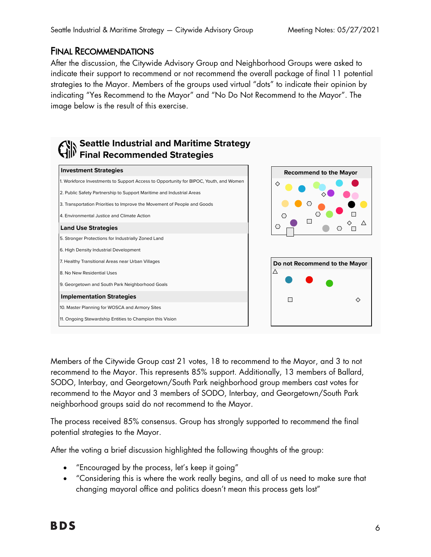## FINAL RECOMMENDATIONS

After the discussion, the Citywide Advisory Group and Neighborhood Groups were asked to indicate their support to recommend or not recommend the overall package of final 11 potential strategies to the Mayor. Members of the groups used virtual "dots" to indicate their opinion by indicating "Yes Recommend to the Mayor" and "No Do Not Recommend to the Mayor". The image below is the result of this exercise.



Members of the Citywide Group cast 21 votes, 18 to recommend to the Mayor, and 3 to not recommend to the Mayor. This represents 85% support. Additionally, 13 members of Ballard, SODO, Interbay, and Georgetown/South Park neighborhood group members cast votes for recommend to the Mayor and 3 members of SODO, Interbay, and Georgetown/South Park neighborhood groups said do not recommend to the Mayor.

The process received 85% consensus. Group has strongly supported to recommend the final potential strategies to the Mayor.

After the voting a brief discussion highlighted the following thoughts of the group:

- "Encouraged by the process, let's keep it going"
- "Considering this is where the work really begins, and all of us need to make sure that changing mayoral office and politics doesn't mean this process gets lost"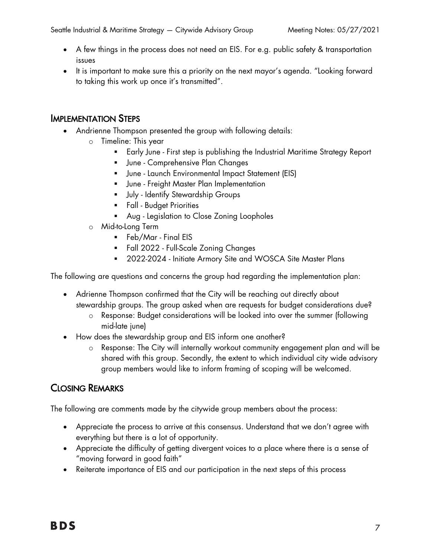- A few things in the process does not need an EIS. For e.g. public safety & transportation issues
- It is important to make sure this a priority on the next mayor's agenda. "Looking forward to taking this work up once it's transmitted".

## IMPLEMENTATION STEPS

- Andrienne Thompson presented the group with following details:
	- o Timeline: This year
		- § Early June First step is publishing the Industrial Maritime Strategy Report
		- § June Comprehensive Plan Changes
		- § June Launch Environmental Impact Statement (EIS)
		- **•** June Freight Master Plan Implementation
		- **■** July Identify Stewardship Groups
		- **Fall Budget Priorities**
		- § Aug Legislation to Close Zoning Loopholes
	- o Mid-to-Long Term
		- § Feb/Mar Final EIS
		- § Fall 2022 Full-Scale Zoning Changes
		- 2022-2024 Initiate Armory Site and WOSCA Site Master Plans

The following are questions and concerns the group had regarding the implementation plan:

- Adrienne Thompson confirmed that the City will be reaching out directly about stewardship groups. The group asked when are requests for budget considerations due?
	- o Response: Budget considerations will be looked into over the summer (following mid-late june)
- How does the stewardship group and EIS inform one another?
	- o Response: The City will internally workout community engagement plan and will be shared with this group. Secondly, the extent to which individual city wide advisory group members would like to inform framing of scoping will be welcomed.

# CLOSING REMARKS

The following are comments made by the citywide group members about the process:

- Appreciate the process to arrive at this consensus. Understand that we don't agree with everything but there is a lot of opportunity.
- Appreciate the difficulty of getting divergent voices to a place where there is a sense of "moving forward in good faith"
- Reiterate importance of EIS and our participation in the next steps of this process